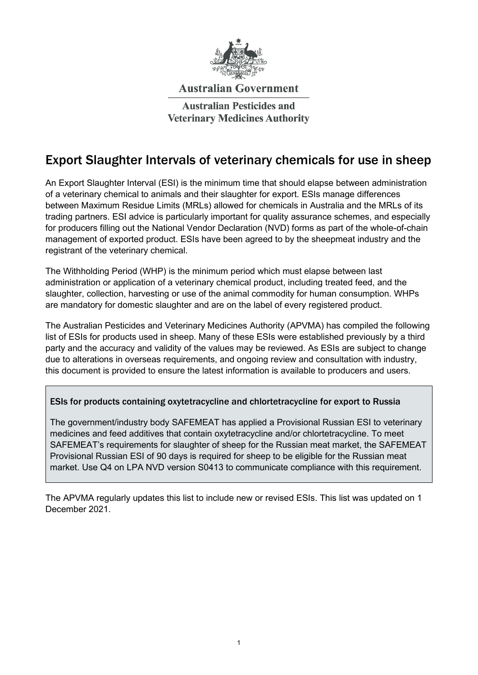

#### **Australian Government**

**Australian Pesticides and Veterinary Medicines Authority** 

#### Export Slaughter Intervals of veterinary chemicals for use in sheep

An Export Slaughter Interval (ESI) is the minimum time that should elapse between administration of a veterinary chemical to animals and their slaughter for export. ESIs manage differences between Maximum Residue Limits (MRLs) allowed for chemicals in Australia and the MRLs of its trading partners. ESI advice is particularly important for quality assurance schemes, and especially for producers filling out the National Vendor Declaration (NVD) forms as part of the whole-of-chain management of exported product. ESIs have been agreed to by the sheepmeat industry and the registrant of the veterinary chemical.

The Withholding Period (WHP) is the minimum period which must elapse between last administration or application of a veterinary chemical product, including treated feed, and the slaughter, collection, harvesting or use of the animal commodity for human consumption. WHPs are mandatory for domestic slaughter and are on the label of every registered product.

The Australian Pesticides and Veterinary Medicines Authority (APVMA) has compiled the following list of ESIs for products used in sheep. Many of these ESIs were established previously by a third party and the accuracy and validity of the values may be reviewed. As ESIs are subject to change due to alterations in overseas requirements, and ongoing review and consultation with industry, this document is provided to ensure the latest information is available to producers and users.

#### ESIs for products containing oxytetracycline and chlortetracycline for export to Russia

The government/industry body SAFEMEAT has applied a Provisional Russian ESI to veterinary medicines and feed additives that contain oxytetracycline and/or chlortetracycline. To meet SAFEMEAT's requirements for slaughter of sheep for the Russian meat market, the SAFEMEAT Provisional Russian ESI of 90 days is required for sheep to be eligible for the Russian meat market. Use Q4 on LPA NVD version S0413 to communicate compliance with this requirement.

The APVMA regularly updates this list to include new or revised ESIs. This list was updated on 1 December 2021.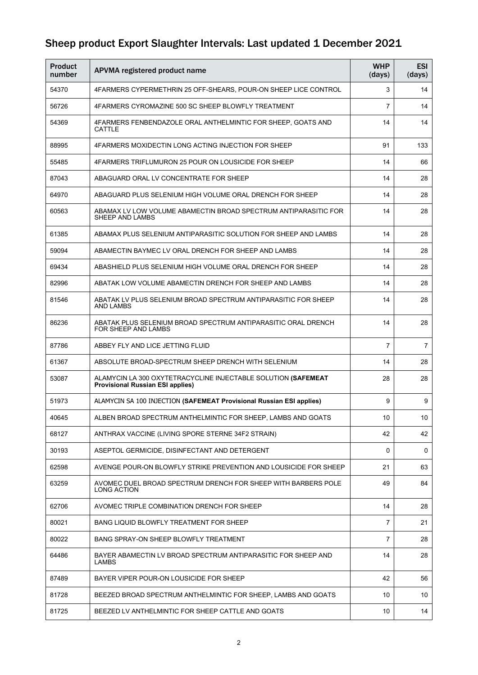| Product<br>number | APVMA registered product name                                                                            | <b>WHP</b><br>(days) | <b>ESI</b><br>(days) |
|-------------------|----------------------------------------------------------------------------------------------------------|----------------------|----------------------|
| 54370             | 4FARMERS CYPERMETHRIN 25 OFF-SHEARS, POUR-ON SHEEP LICE CONTROL                                          | 3                    | 14                   |
| 56726             | 4FARMERS CYROMAZINE 500 SC SHEEP BLOWFLY TREATMENT                                                       | 7                    | 14                   |
| 54369             | 4FARMERS FENBENDAZOLE ORAL ANTHELMINTIC FOR SHEEP, GOATS AND<br><b>CATTLE</b>                            | 14                   | 14                   |
| 88995             | 4FARMERS MOXIDECTIN LONG ACTING INJECTION FOR SHEEP                                                      | 91                   | 133                  |
| 55485             | 4FARMERS TRIFLUMURON 25 POUR ON LOUSICIDE FOR SHEEP                                                      | 14                   | 66                   |
| 87043             | ABAGUARD ORAL LV CONCENTRATE FOR SHEEP                                                                   | 14                   | 28                   |
| 64970             | ABAGUARD PLUS SELENIUM HIGH VOLUME ORAL DRENCH FOR SHEEP                                                 | 14                   | 28                   |
| 60563             | ABAMAX LV LOW VOLUME ABAMECTIN BROAD SPECTRUM ANTIPARASITIC FOR<br>SHEEP AND LAMBS                       | 14                   | 28                   |
| 61385             | ABAMAX PLUS SELENIUM ANTIPARASITIC SOLUTION FOR SHEEP AND LAMBS                                          | 14                   | 28                   |
| 59094             | ABAMECTIN BAYMEC LV ORAL DRENCH FOR SHEEP AND LAMBS                                                      | 14                   | 28                   |
| 69434             | ABASHIELD PLUS SELENIUM HIGH VOLUME ORAL DRENCH FOR SHEEP                                                | 14                   | 28                   |
| 82996             | ABATAK LOW VOLUME ABAMECTIN DRENCH FOR SHEEP AND LAMBS                                                   | 14                   | 28                   |
| 81546             | ABATAK LV PLUS SELENIUM BROAD SPECTRUM ANTIPARASITIC FOR SHEEP<br><b>AND LAMBS</b>                       | 14                   | 28                   |
| 86236             | ABATAK PLUS SELENIUM BROAD SPECTRUM ANTIPARASITIC ORAL DRENCH<br>FOR SHEEP AND LAMBS                     | 14                   | 28                   |
| 87786             | ABBEY FLY AND LICE JETTING FLUID                                                                         | 7                    | $\overline{7}$       |
| 61367             | ABSOLUTE BROAD-SPECTRUM SHEEP DRENCH WITH SELENIUM                                                       | 14                   | 28                   |
| 53087             | ALAMYCIN LA 300 OXYTETRACYCLINE INJECTABLE SOLUTION (SAFEMEAT<br><b>Provisional Russian ESI applies)</b> | 28                   | 28                   |
| 51973             | ALAMYCIN SA 100 INJECTION (SAFEMEAT Provisional Russian ESI applies)                                     | 9                    | 9                    |
| 40645             | ALBEN BROAD SPECTRUM ANTHELMINTIC FOR SHEEP, LAMBS AND GOATS                                             | 10                   | 10 <sub>1</sub>      |
| 68127             | ANTHRAX VACCINE (LIVING SPORE STERNE 34F2 STRAIN)                                                        | 42                   | 42                   |
| 30193             | ASEPTOL GERMICIDE, DISINFECTANT AND DETERGENT                                                            | 0                    | 0                    |
| 62598             | AVENGE POUR-ON BLOWFLY STRIKE PREVENTION AND LOUSICIDE FOR SHEEP                                         | 21                   | 63                   |
| 63259             | AVOMEC DUEL BROAD SPECTRUM DRENCH FOR SHEEP WITH BARBERS POLE<br>LONG ACTION                             | 49                   | 84                   |
| 62706             | AVOMEC TRIPLE COMBINATION DRENCH FOR SHEEP                                                               | 14                   | 28                   |
| 80021             | <b>BANG LIQUID BLOWFLY TREATMENT FOR SHEEP</b>                                                           | 7                    | 21                   |
| 80022             | BANG SPRAY-ON SHEEP BLOWFLY TREATMENT                                                                    | 7                    | 28                   |
| 64486             | BAYER ABAMECTIN LV BROAD SPECTRUM ANTIPARASITIC FOR SHEEP AND<br>LAMBS                                   | 14                   | 28                   |
| 87489             | BAYER VIPER POUR-ON LOUSICIDE FOR SHEEP                                                                  | 42                   | 56                   |
| 81728             | BEEZED BROAD SPECTRUM ANTHELMINTIC FOR SHEEP, LAMBS AND GOATS                                            | 10                   | 10                   |
| 81725             | BEEZED LV ANTHELMINTIC FOR SHEEP CATTLE AND GOATS                                                        | 10                   | 14                   |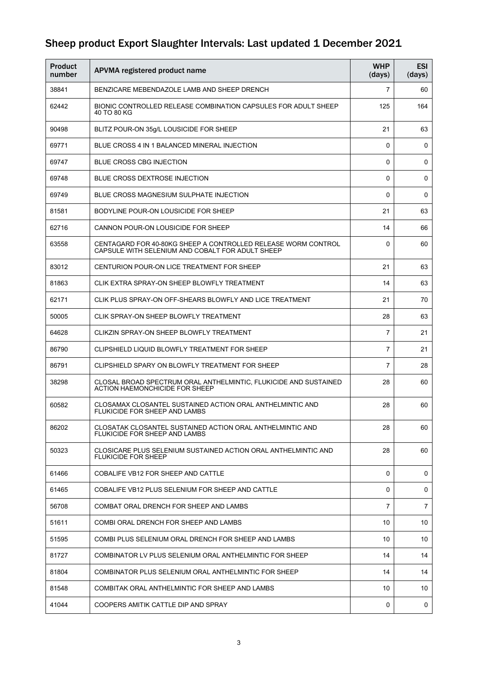| <b>Product</b><br>number | APVMA registered product name                                                                                     | <b>WHP</b><br>(days) | <b>ESI</b><br>(days) |
|--------------------------|-------------------------------------------------------------------------------------------------------------------|----------------------|----------------------|
| 38841                    | BENZICARE MEBENDAZOLE LAMB AND SHEEP DRENCH                                                                       | $\overline{7}$       | 60                   |
| 62442                    | BIONIC CONTROLLED RELEASE COMBINATION CAPSULES FOR ADULT SHEEP<br>40 TO 80 KG                                     | 125                  | 164                  |
| 90498                    | BLITZ POUR-ON 35g/L LOUSICIDE FOR SHEEP                                                                           | 21                   | 63                   |
| 69771                    | BLUE CROSS 4 IN 1 BALANCED MINERAL INJECTION                                                                      | 0                    | 0                    |
| 69747                    | BLUE CROSS CBG INJECTION                                                                                          | $\Omega$             | 0                    |
| 69748                    | <b>BLUE CROSS DEXTROSE INJECTION</b>                                                                              | 0                    | 0                    |
| 69749                    | BLUE CROSS MAGNESIUM SULPHATE INJECTION                                                                           | 0                    | 0                    |
| 81581                    | BODYLINE POUR-ON LOUSICIDE FOR SHEEP                                                                              | 21                   | 63                   |
| 62716                    | CANNON POUR-ON LOUSICIDE FOR SHEEP                                                                                | 14                   | 66                   |
| 63558                    | CENTAGARD FOR 40-80KG SHEEP A CONTROLLED RELEASE WORM CONTROL<br>CAPSULE WITH SELENIUM AND COBALT FOR ADULT SHEEP | 0                    | 60                   |
| 83012                    | CENTURION POUR-ON LICE TREATMENT FOR SHEEP                                                                        | 21                   | 63                   |
| 81863                    | CLIK EXTRA SPRAY-ON SHEEP BLOWFLY TREATMENT                                                                       | 14                   | 63                   |
| 62171                    | CLIK PLUS SPRAY-ON OFF-SHEARS BLOWFLY AND LICE TREATMENT                                                          | 21                   | 70                   |
| 50005                    | CLIK SPRAY-ON SHEEP BLOWFLY TREATMENT                                                                             | 28                   | 63                   |
| 64628                    | CLIKZIN SPRAY-ON SHEEP BLOWFLY TREATMENT                                                                          | 7                    | 21                   |
| 86790                    | CLIPSHIELD LIQUID BLOWFLY TREATMENT FOR SHEEP                                                                     | 7                    | 21                   |
| 86791                    | CLIPSHIELD SPARY ON BLOWFLY TREATMENT FOR SHEEP                                                                   | 7                    | 28                   |
| 38298                    | CLOSAL BROAD SPECTRUM ORAL ANTHELMINTIC, FLUKICIDE AND SUSTAINED<br>ACTION HAEMONCHICIDE FOR SHEEP                | 28                   | 60                   |
| 60582                    | CLOSAMAX CLOSANTEL SUSTAINED ACTION ORAL ANTHELMINTIC AND<br><b>FLUKICIDE FOR SHEEP AND LAMBS</b>                 | 28                   | 60                   |
| 86202                    | CLOSATAK CLOSANTEL SUSTAINED ACTION ORAL ANTHELMINTIC AND<br>FLUKICIDE FOR SHEEP AND LAMBS                        | 28                   | 60                   |
| 50323                    | CLOSICARE PLUS SELENIUM SUSTAINED ACTION ORAL ANTHELMINTIC AND<br><b>FLUKICIDE FOR SHEEP</b>                      | 28                   | 60                   |
| 61466                    | COBALIFE VB12 FOR SHEEP AND CATTLE                                                                                | 0                    | 0                    |
| 61465                    | COBALIFE VB12 PLUS SELENIUM FOR SHEEP AND CATTLE                                                                  | 0                    | 0                    |
| 56708                    | COMBAT ORAL DRENCH FOR SHEEP AND LAMBS                                                                            | $\overline{7}$       | $\overline{7}$       |
| 51611                    | COMBI ORAL DRENCH FOR SHEEP AND LAMBS                                                                             | 10                   | 10                   |
| 51595                    | COMBI PLUS SELENIUM ORAL DRENCH FOR SHEEP AND LAMBS                                                               | 10                   | 10                   |
| 81727                    | COMBINATOR LV PLUS SELENIUM ORAL ANTHELMINTIC FOR SHEEP                                                           | 14                   | 14                   |
| 81804                    | COMBINATOR PLUS SELENIUM ORAL ANTHELMINTIC FOR SHEEP                                                              | 14                   | 14                   |
| 81548                    | COMBITAK ORAL ANTHELMINTIC FOR SHEEP AND LAMBS                                                                    | 10                   | 10                   |
| 41044                    | COOPERS AMITIK CATTLE DIP AND SPRAY                                                                               | 0                    | 0                    |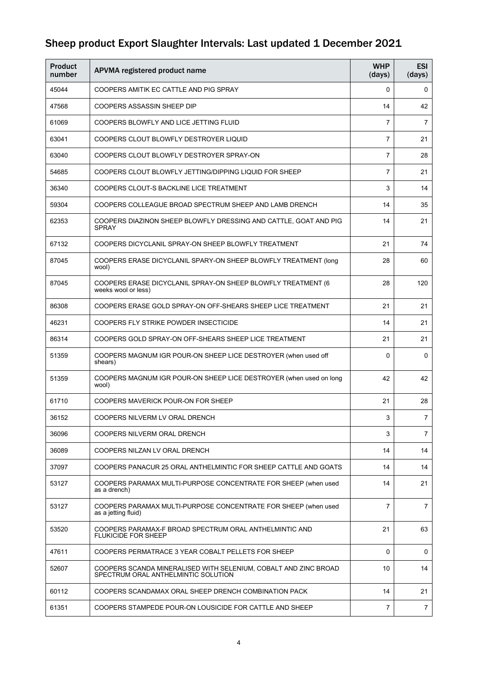| <b>Product</b><br>number | APVMA registered product name                                                                          | <b>WHP</b><br>(days) | <b>ESI</b><br>(days) |
|--------------------------|--------------------------------------------------------------------------------------------------------|----------------------|----------------------|
| 45044                    | COOPERS AMITIK EC CATTLE AND PIG SPRAY                                                                 | 0                    | 0                    |
| 47568                    | COOPERS ASSASSIN SHEEP DIP                                                                             | 14                   | 42                   |
| 61069                    | COOPERS BLOWFLY AND LICE JETTING FLUID                                                                 | 7                    | 7                    |
| 63041                    | COOPERS CLOUT BLOWFLY DESTROYER LIQUID                                                                 | $\overline{7}$       | 21                   |
| 63040                    | COOPERS CLOUT BLOWFLY DESTROYER SPRAY-ON                                                               | 7                    | 28                   |
| 54685                    | COOPERS CLOUT BLOWFLY JETTING/DIPPING LIQUID FOR SHEEP                                                 | 7                    | 21                   |
| 36340                    | COOPERS CLOUT-S BACKLINE LICE TREATMENT                                                                | 3                    | 14                   |
| 59304                    | COOPERS COLLEAGUE BROAD SPECTRUM SHEEP AND LAMB DRENCH                                                 | 14                   | 35                   |
| 62353                    | COOPERS DIAZINON SHEEP BLOWFLY DRESSING AND CATTLE, GOAT AND PIG<br><b>SPRAY</b>                       | 14                   | 21                   |
| 67132                    | COOPERS DICYCLANIL SPRAY-ON SHEEP BLOWFLY TREATMENT                                                    | 21                   | 74                   |
| 87045                    | COOPERS ERASE DICYCLANIL SPARY-ON SHEEP BLOWFLY TREATMENT (long<br>wool)                               | 28                   | 60                   |
| 87045                    | COOPERS ERASE DICYCLANIL SPRAY-ON SHEEP BLOWFLY TREATMENT (6<br>weeks wool or less)                    | 28                   | 120                  |
| 86308                    | COOPERS ERASE GOLD SPRAY-ON OFF-SHEARS SHEEP LICE TREATMENT                                            | 21                   | 21                   |
| 46231                    | COOPERS FLY STRIKE POWDER INSECTICIDE                                                                  | 14                   | 21                   |
| 86314                    | COOPERS GOLD SPRAY-ON OFF-SHEARS SHEEP LICE TREATMENT                                                  | 21                   | 21                   |
| 51359                    | COOPERS MAGNUM IGR POUR-ON SHEEP LICE DESTROYER (when used off<br>shears)                              | 0                    | 0                    |
| 51359                    | COOPERS MAGNUM IGR POUR-ON SHEEP LICE DESTROYER (when used on long<br>wool)                            | 42                   | 42                   |
| 61710                    | COOPERS MAVERICK POUR-ON FOR SHEEP                                                                     | 21                   | 28                   |
| 36152                    | COOPERS NILVERM LV ORAL DRENCH                                                                         | 3                    | $\overline{7}$       |
| 36096                    | COOPERS NILVERM ORAL DRENCH                                                                            | 3                    | $\overline{7}$       |
| 36089                    | COOPERS NILZAN LV ORAL DRENCH                                                                          | 14                   | 14                   |
| 37097                    | COOPERS PANACUR 25 ORAL ANTHELMINTIC FOR SHEEP CATTLE AND GOATS                                        | 14                   | 14                   |
| 53127                    | COOPERS PARAMAX MULTI-PURPOSE CONCENTRATE FOR SHEEP (when used<br>as a drench)                         | 14                   | 21                   |
| 53127                    | COOPERS PARAMAX MULTI-PURPOSE CONCENTRATE FOR SHEEP (when used<br>as a jetting fluid)                  | 7                    | $\overline{7}$       |
| 53520                    | COOPERS PARAMAX-F BROAD SPECTRUM ORAL ANTHELMINTIC AND<br><b>FLUKICIDE FOR SHEEP</b>                   | 21                   | 63                   |
| 47611                    | COOPERS PERMATRACE 3 YEAR COBALT PELLETS FOR SHEEP                                                     | 0                    | 0                    |
| 52607                    | COOPERS SCANDA MINERALISED WITH SELENIUM, COBALT AND ZINC BROAD<br>SPECTRUM ORAL ANTHELMINTIC SOLUTION | 10                   | 14                   |
| 60112                    | COOPERS SCANDAMAX ORAL SHEEP DRENCH COMBINATION PACK                                                   | 14                   | 21                   |
| 61351                    | COOPERS STAMPEDE POUR-ON LOUSICIDE FOR CATTLE AND SHEEP                                                | 7                    | $\overline{7}$       |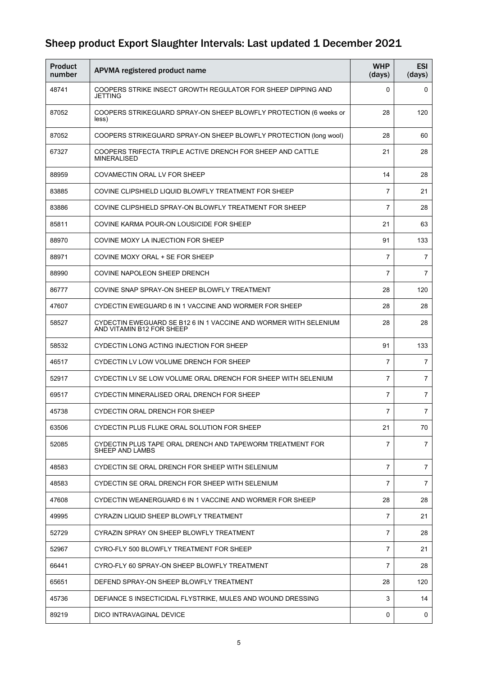| <b>Product</b><br>number | APVMA registered product name                                                                 | <b>WHP</b><br>(days) | <b>ESI</b><br>(days) |
|--------------------------|-----------------------------------------------------------------------------------------------|----------------------|----------------------|
| 48741                    | COOPERS STRIKE INSECT GROWTH REGULATOR FOR SHEEP DIPPING AND<br><b>JETTING</b>                | 0                    | 0                    |
| 87052                    | COOPERS STRIKEGUARD SPRAY-ON SHEEP BLOWFLY PROTECTION (6 weeks or<br>less)                    | 28                   | 120                  |
| 87052                    | COOPERS STRIKEGUARD SPRAY-ON SHEEP BLOWFLY PROTECTION (long wool)                             | 28                   | 60                   |
| 67327                    | COOPERS TRIFECTA TRIPLE ACTIVE DRENCH FOR SHEEP AND CATTLE<br><b>MINERALISED</b>              | 21                   | 28                   |
| 88959                    | COVAMECTIN ORAL LV FOR SHEEP                                                                  | 14                   | 28                   |
| 83885                    | COVINE CLIPSHIELD LIQUID BLOWFLY TREATMENT FOR SHEEP                                          | $\overline{7}$       | 21                   |
| 83886                    | COVINE CLIPSHIELD SPRAY-ON BLOWFLY TREATMENT FOR SHEEP                                        | 7                    | 28                   |
| 85811                    | COVINE KARMA POUR-ON LOUSICIDE FOR SHEEP                                                      | 21                   | 63                   |
| 88970                    | COVINE MOXY LA INJECTION FOR SHEEP                                                            | 91                   | 133                  |
| 88971                    | COVINE MOXY ORAL + SE FOR SHEEP                                                               | 7                    | 7                    |
| 88990                    | COVINE NAPOLEON SHEEP DRENCH                                                                  | $\overline{7}$       | 7                    |
| 86777                    | COVINE SNAP SPRAY-ON SHEEP BLOWFLY TREATMENT                                                  | 28                   | 120                  |
| 47607                    | CYDECTIN EWEGUARD 6 IN 1 VACCINE AND WORMER FOR SHEEP                                         | 28                   | 28                   |
| 58527                    | CYDECTIN EWEGUARD SE B12 6 IN 1 VACCINE AND WORMER WITH SELENIUM<br>AND VITAMIN B12 FOR SHEEP | 28                   | 28                   |
| 58532                    | CYDECTIN LONG ACTING INJECTION FOR SHEEP                                                      | 91                   | 133                  |
| 46517                    | CYDECTIN LV LOW VOLUME DRENCH FOR SHEEP                                                       | $\overline{7}$       | 7                    |
| 52917                    | CYDECTIN LV SE LOW VOLUME ORAL DRENCH FOR SHEEP WITH SELENIUM                                 | $\overline{7}$       | $\overline{7}$       |
| 69517                    | CYDECTIN MINERALISED ORAL DRENCH FOR SHEEP                                                    | 7                    | $\overline{7}$       |
| 45738                    | CYDECTIN ORAL DRENCH FOR SHEEP                                                                | $\overline{7}$       | 7                    |
| 63506                    | CYDECTIN PLUS FLUKE ORAL SOLUTION FOR SHEEP                                                   | 21                   | 70                   |
| 52085                    | CYDECTIN PLUS TAPE ORAL DRENCH AND TAPEWORM TREATMENT FOR<br>SHEEP AND LAMBS                  | 7                    | $\overline{7}$       |
| 48583                    | CYDECTIN SE ORAL DRENCH FOR SHEEP WITH SELENIUM                                               | $\overline{7}$       | $\overline{7}$       |
| 48583                    | CYDECTIN SE ORAL DRENCH FOR SHEEP WITH SELENIUM                                               | $\overline{7}$       | $\overline{7}$       |
| 47608                    | CYDECTIN WEANERGUARD 6 IN 1 VACCINE AND WORMER FOR SHEEP                                      | 28                   | 28                   |
| 49995                    | CYRAZIN LIQUID SHEEP BLOWFLY TREATMENT                                                        | 7                    | 21                   |
| 52729                    | CYRAZIN SPRAY ON SHEEP BLOWFLY TREATMENT                                                      | $\overline{7}$       | 28                   |
| 52967                    | CYRO-FLY 500 BLOWFLY TREATMENT FOR SHEEP                                                      | $\overline{7}$       | 21                   |
| 66441                    | CYRO-FLY 60 SPRAY-ON SHEEP BLOWFLY TREATMENT                                                  | $\overline{7}$       | 28                   |
| 65651                    | DEFEND SPRAY-ON SHEEP BLOWFLY TREATMENT                                                       | 28                   | 120                  |
| 45736                    | DEFIANCE S INSECTICIDAL FLYSTRIKE, MULES AND WOUND DRESSING                                   | 3                    | 14                   |
| 89219                    | DICO INTRAVAGINAL DEVICE                                                                      | 0                    | 0                    |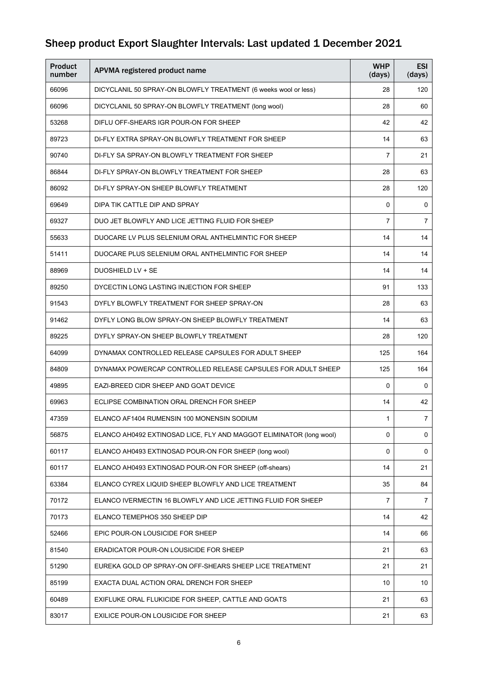| <b>Product</b><br>number | APVMA registered product name                                       | <b>WHP</b><br>(days) | <b>ESI</b><br>(days) |
|--------------------------|---------------------------------------------------------------------|----------------------|----------------------|
| 66096                    | DICYCLANIL 50 SPRAY-ON BLOWFLY TREATMENT (6 weeks wool or less)     | 28                   | 120                  |
| 66096                    | DICYCLANIL 50 SPRAY-ON BLOWFLY TREATMENT (long wool)                | 28                   | 60                   |
| 53268                    | DIFLU OFF-SHEARS IGR POUR-ON FOR SHEEP                              | 42                   | 42                   |
| 89723                    | DI-FLY EXTRA SPRAY-ON BLOWFLY TREATMENT FOR SHEEP                   | 14                   | 63                   |
| 90740                    | DI-FLY SA SPRAY-ON BLOWFLY TREATMENT FOR SHEEP                      | 7                    | 21                   |
| 86844                    | DI-FLY SPRAY-ON BLOWFLY TREATMENT FOR SHEEP                         | 28                   | 63                   |
| 86092                    | DI-FLY SPRAY-ON SHEEP BLOWFLY TREATMENT                             | 28                   | 120                  |
| 69649                    | DIPA TIK CATTLE DIP AND SPRAY                                       | 0                    | 0                    |
| 69327                    | DUO JET BLOWFLY AND LICE JETTING FLUID FOR SHEEP                    | 7                    | 7                    |
| 55633                    | DUOCARE LV PLUS SELENIUM ORAL ANTHELMINTIC FOR SHEEP                | 14                   | 14                   |
| 51411                    | DUOCARE PLUS SELENIUM ORAL ANTHELMINTIC FOR SHEEP                   | 14                   | 14                   |
| 88969                    | <b>DUOSHIELD LV + SE</b>                                            | 14                   | 14                   |
| 89250                    | DYCECTIN LONG LASTING INJECTION FOR SHEEP                           | 91                   | 133                  |
| 91543                    | DYFLY BLOWFLY TREATMENT FOR SHEEP SPRAY-ON                          | 28                   | 63                   |
| 91462                    | DYFLY LONG BLOW SPRAY-ON SHEEP BLOWFLY TREATMENT                    | 14                   | 63                   |
| 89225                    | DYFLY SPRAY-ON SHEEP BLOWFLY TREATMENT                              | 28                   | 120                  |
| 64099                    | DYNAMAX CONTROLLED RELEASE CAPSULES FOR ADULT SHEEP                 | 125                  | 164                  |
| 84809                    | DYNAMAX POWERCAP CONTROLLED RELEASE CAPSULES FOR ADULT SHEEP        | 125                  | 164                  |
| 49895                    | EAZI-BREED CIDR SHEEP AND GOAT DEVICE                               | 0                    | 0                    |
| 69963                    | ECLIPSE COMBINATION ORAL DRENCH FOR SHEEP                           | 14                   | 42                   |
| 47359                    | ELANCO AF1404 RUMENSIN 100 MONENSIN SODIUM                          | 1                    | $\sqrt{2}$           |
| 56875                    | ELANCO AH0492 EXTINOSAD LICE, FLY AND MAGGOT ELIMINATOR (long wool) | 0                    | 0                    |
| 60117                    | ELANCO AH0493 EXTINOSAD POUR-ON FOR SHEEP (long wool)               | 0                    | 0                    |
| 60117                    | ELANCO AH0493 EXTINOSAD POUR-ON FOR SHEEP (off-shears)              | 14                   | 21                   |
| 63384                    | ELANCO CYREX LIQUID SHEEP BLOWFLY AND LICE TREATMENT                | 35                   | 84                   |
| 70172                    | ELANCO IVERMECTIN 16 BLOWFLY AND LICE JETTING FLUID FOR SHEEP       | $\overline{7}$       | $\overline{7}$       |
| 70173                    | ELANCO TEMEPHOS 350 SHEEP DIP                                       | 14                   | 42                   |
| 52466                    | EPIC POUR-ON LOUSICIDE FOR SHEEP                                    | 14                   | 66                   |
| 81540                    | ERADICATOR POUR-ON LOUSICIDE FOR SHEEP                              | 21                   | 63                   |
| 51290                    | EUREKA GOLD OP SPRAY-ON OFF-SHEARS SHEEP LICE TREATMENT             | 21                   | 21                   |
| 85199                    | EXACTA DUAL ACTION ORAL DRENCH FOR SHEEP                            | 10                   | 10                   |
| 60489                    | EXIFLUKE ORAL FLUKICIDE FOR SHEEP, CATTLE AND GOATS                 | 21                   | 63                   |
| 83017                    | EXILICE POUR-ON LOUSICIDE FOR SHEEP                                 | 21                   | 63                   |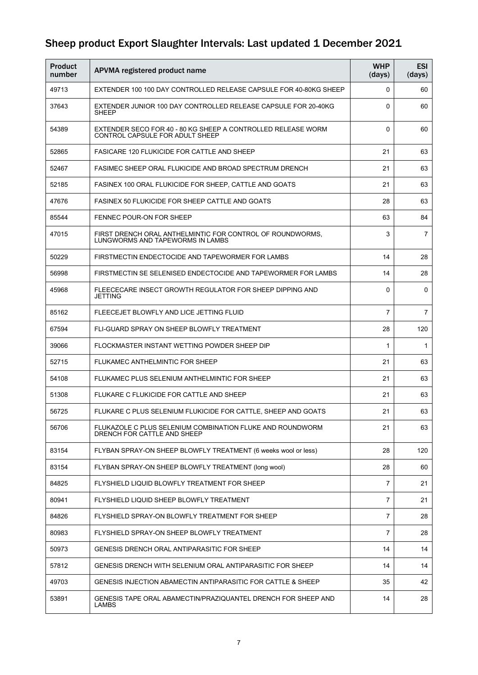| <b>Product</b><br>number | APVMA registered product name                                                                   | <b>WHP</b><br>(days) | <b>ESI</b><br>(days) |
|--------------------------|-------------------------------------------------------------------------------------------------|----------------------|----------------------|
| 49713                    | EXTENDER 100 100 DAY CONTROLLED RELEASE CAPSULE FOR 40-80KG SHEEP                               | 0                    | 60                   |
| 37643                    | EXTENDER JUNIOR 100 DAY CONTROLLED RELEASE CAPSULE FOR 20-40KG<br><b>SHEEP</b>                  | 0                    | 60                   |
| 54389                    | EXTENDER SECO FOR 40 - 80 KG SHEEP A CONTROLLED RELEASE WORM<br>CONTROL CAPSULE FOR ADULT SHEEP | 0                    | 60                   |
| 52865                    | <b>FASICARE 120 FLUKICIDE FOR CATTLE AND SHEEP</b>                                              | 21                   | 63                   |
| 52467                    | FASIMEC SHEEP ORAL FLUKICIDE AND BROAD SPECTRUM DRENCH                                          | 21                   | 63                   |
| 52185                    | FASINEX 100 ORAL FLUKICIDE FOR SHEEP, CATTLE AND GOATS                                          | 21                   | 63                   |
| 47676                    | <b>FASINEX 50 FLUKICIDE FOR SHEEP CATTLE AND GOATS</b>                                          | 28                   | 63                   |
| 85544                    | FENNEC POUR-ON FOR SHEEP                                                                        | 63                   | 84                   |
| 47015                    | FIRST DRENCH ORAL ANTHELMINTIC FOR CONTROL OF ROUNDWORMS,<br>LUNGWORMS AND TAPEWORMS IN LAMBS   | 3                    | $\overline{7}$       |
| 50229                    | FIRSTMECTIN ENDECTOCIDE AND TAPEWORMER FOR LAMBS                                                | 14                   | 28                   |
| 56998                    | FIRSTMECTIN SE SELENISED ENDECTOCIDE AND TAPEWORMER FOR LAMBS                                   | 14                   | 28                   |
| 45968                    | FLEECECARE INSECT GROWTH REGULATOR FOR SHEEP DIPPING AND<br>JETTING                             | 0                    | $\Omega$             |
| 85162                    | FLEECEJET BLOWFLY AND LICE JETTING FLUID                                                        | 7                    | $\overline{7}$       |
| 67594                    | FLI-GUARD SPRAY ON SHEEP BLOWFLY TREATMENT                                                      | 28                   | 120                  |
| 39066                    | FLOCKMASTER INSTANT WETTING POWDER SHEEP DIP                                                    | 1                    | 1                    |
| 52715                    | FLUKAMEC ANTHELMINTIC FOR SHEEP                                                                 | 21                   | 63                   |
| 54108                    | FLUKAMEC PLUS SELENIUM ANTHELMINTIC FOR SHEEP                                                   | 21                   | 63                   |
| 51308                    | FLUKARE C FLUKICIDE FOR CATTLE AND SHEEP                                                        | 21                   | 63                   |
| 56725                    | FLUKARE C PLUS SELENIUM FLUKICIDE FOR CATTLE, SHEEP AND GOATS                                   | 21                   | 63                   |
| 56706                    | FLUKAZOLE C PLUS SELENIUM COMBINATION FLUKE AND ROUNDWORM<br>DRENCH FOR CATTLE AND SHEEP        | 21                   | 63                   |
| 83154                    | FLYBAN SPRAY-ON SHEEP BLOWFLY TREATMENT (6 weeks wool or less)                                  | 28                   | 120                  |
| 83154                    | FLYBAN SPRAY-ON SHEEP BLOWFLY TREATMENT (long wool)                                             | 28                   | 60                   |
| 84825                    | FLYSHIELD LIQUID BLOWFLY TREATMENT FOR SHEEP                                                    | 7                    | 21                   |
| 80941                    | FLYSHIELD LIQUID SHEEP BLOWFLY TREATMENT                                                        | 7                    | 21                   |
| 84826                    | FLYSHIELD SPRAY-ON BLOWFLY TREATMENT FOR SHEEP                                                  | 7                    | 28                   |
| 80983                    | FLYSHIELD SPRAY-ON SHEEP BLOWFLY TREATMENT                                                      | 7                    | 28                   |
| 50973                    | <b>GENESIS DRENCH ORAL ANTIPARASITIC FOR SHEEP</b>                                              | 14                   | 14                   |
| 57812                    | GENESIS DRENCH WITH SELENIUM ORAL ANTIPARASITIC FOR SHEEP                                       | 14                   | 14                   |
| 49703                    | GENESIS INJECTION ABAMECTIN ANTIPARASITIC FOR CATTLE & SHEEP                                    | 35                   | 42                   |
| 53891                    | GENESIS TAPE ORAL ABAMECTIN/PRAZIQUANTEL DRENCH FOR SHEEP AND<br><b>LAMBS</b>                   | 14                   | 28                   |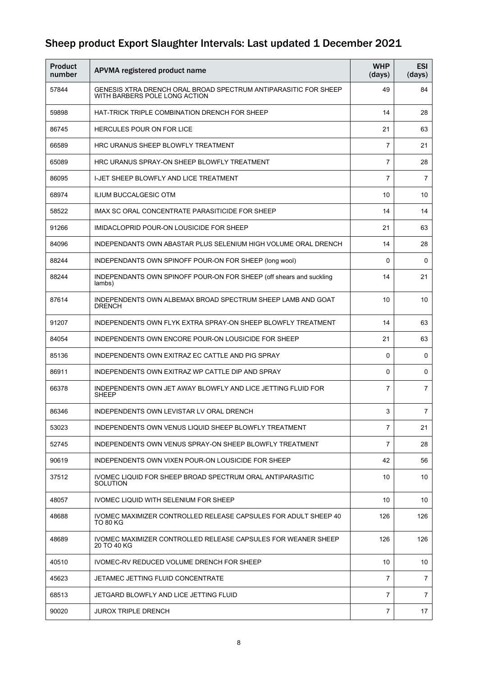| <b>Product</b><br>number | APVMA registered product name                                                                    | <b>WHP</b><br>(days) | <b>ESI</b><br>(days) |
|--------------------------|--------------------------------------------------------------------------------------------------|----------------------|----------------------|
| 57844                    | GENESIS XTRA DRENCH ORAL BROAD SPECTRUM ANTIPARASITIC FOR SHEEP<br>WITH BARBERS POLE LONG ACTION | 49                   | 84                   |
| 59898                    | HAT-TRICK TRIPLE COMBINATION DRENCH FOR SHEEP                                                    | 14                   | 28                   |
| 86745                    | <b>HERCULES POUR ON FOR LICE</b>                                                                 | 21                   | 63                   |
| 66589                    | HRC URANUS SHEEP BLOWFLY TREATMENT                                                               | $\overline{7}$       | 21                   |
| 65089                    | HRC URANUS SPRAY-ON SHEEP BLOWFLY TREATMENT                                                      | $\overline{7}$       | 28                   |
| 86095                    | I-JET SHEEP BLOWFLY AND LICE TREATMENT                                                           | $\overline{7}$       | 7                    |
| 68974                    | <b>ILIUM BUCCALGESIC OTM</b>                                                                     | 10                   | 10                   |
| 58522                    | IMAX SC ORAL CONCENTRATE PARASITICIDE FOR SHEEP                                                  | 14                   | 14                   |
| 91266                    | IMIDACLOPRID POUR-ON LOUSICIDE FOR SHEEP                                                         | 21                   | 63                   |
| 84096                    | INDEPENDANTS OWN ABASTAR PLUS SELENIUM HIGH VOLUME ORAL DRENCH                                   | 14                   | 28                   |
| 88244                    | INDEPENDANTS OWN SPINOFF POUR-ON FOR SHEEP (long wool)                                           | 0                    | 0                    |
| 88244                    | INDEPENDANTS OWN SPINOFF POUR-ON FOR SHEEP (off shears and suckling<br>lambs)                    | 14                   | 21                   |
| 87614                    | INDEPENDENTS OWN ALBEMAX BROAD SPECTRUM SHEEP LAMB AND GOAT<br><b>DRENCH</b>                     | 10                   | 10                   |
| 91207                    | INDEPENDENTS OWN FLYK EXTRA SPRAY-ON SHEEP BLOWFLY TREATMENT                                     | 14                   | 63                   |
| 84054                    | INDEPENDENTS OWN ENCORE POUR-ON LOUSICIDE FOR SHEEP                                              | 21                   | 63                   |
| 85136                    | INDEPENDENTS OWN EXITRAZ EC CATTLE AND PIG SPRAY                                                 | 0                    | 0                    |
| 86911                    | INDEPENDENTS OWN EXITRAZ WP CATTLE DIP AND SPRAY                                                 | 0                    | 0                    |
| 66378                    | INDEPENDENTS OWN JET AWAY BLOWFLY AND LICE JETTING FLUID FOR<br><b>SHEEP</b>                     | $\overline{7}$       | $\overline{7}$       |
| 86346                    | INDEPENDENTS OWN LEVISTAR LV ORAL DRENCH                                                         | 3                    | $\overline{7}$       |
| 53023                    | INDEPENDENTS OWN VENUS LIQUID SHEEP BLOWFLY TREATMENT                                            | 7                    | 21                   |
| 52745                    | INDEPENDENTS OWN VENUS SPRAY-ON SHEEP BLOWFLY TREATMENT                                          | 7                    | 28                   |
| 90619                    | INDEPENDENTS OWN VIXEN POUR-ON LOUSICIDE FOR SHEEP                                               | 42                   | 56                   |
| 37512                    | IVOMEC LIQUID FOR SHEEP BROAD SPECTRUM ORAL ANTIPARASITIC<br>SOLUTION                            | 10                   | 10                   |
| 48057                    | IVOMEC LIQUID WITH SELENIUM FOR SHEEP                                                            | 10                   | 10                   |
| 48688                    | IVOMEC MAXIMIZER CONTROLLED RELEASE CAPSULES FOR ADULT SHEEP 40<br>TO 80 KG                      | 126                  | 126                  |
| 48689                    | IVOMEC MAXIMIZER CONTROLLED RELEASE CAPSULES FOR WEANER SHEEP<br>20 TO 40 KG                     | 126                  | 126                  |
| 40510                    | IVOMEC-RV REDUCED VOLUME DRENCH FOR SHEEP                                                        | 10                   | 10                   |
| 45623                    | JETAMEC JETTING FLUID CONCENTRATE                                                                | 7                    | $\overline{7}$       |
| 68513                    | JETGARD BLOWFLY AND LICE JETTING FLUID                                                           | 7                    | $\overline{7}$       |
| 90020                    | JUROX TRIPLE DRENCH                                                                              | 7                    | 17                   |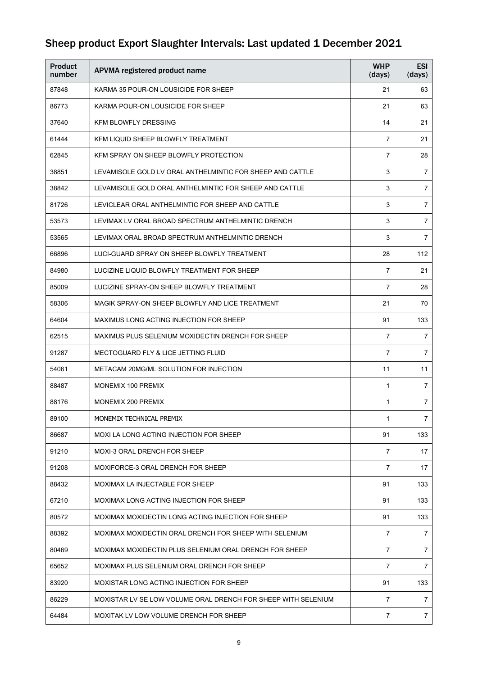| <b>Product</b><br>number | APVMA registered product name                                 | <b>WHP</b><br>(days) | <b>ESI</b><br>(days) |
|--------------------------|---------------------------------------------------------------|----------------------|----------------------|
| 87848                    | KARMA 35 POUR-ON LOUSICIDE FOR SHEEP                          | 21                   | 63                   |
| 86773                    | KARMA POUR-ON LOUSICIDE FOR SHEEP                             | 21                   | 63                   |
| 37640                    | <b>KFM BLOWFLY DRESSING</b>                                   | 14                   | 21                   |
| 61444                    | KFM LIQUID SHEEP BLOWFLY TREATMENT                            | 7                    | 21                   |
| 62845                    | KFM SPRAY ON SHEEP BLOWFLY PROTECTION                         | 7                    | 28                   |
| 38851                    | LEVAMISOLE GOLD LV ORAL ANTHELMINTIC FOR SHEEP AND CATTLE     | 3                    | $\overline{7}$       |
| 38842                    | LEVAMISOLE GOLD ORAL ANTHELMINTIC FOR SHEEP AND CATTLE        | 3                    | $\overline{7}$       |
| 81726                    | LEVICLEAR ORAL ANTHELMINTIC FOR SHEEP AND CATTLE              | 3                    | 7                    |
| 53573                    | LEVIMAX LV ORAL BROAD SPECTRUM ANTHELMINTIC DRENCH            | 3                    | 7                    |
| 53565                    | LEVIMAX ORAL BROAD SPECTRUM ANTHELMINTIC DRENCH               | 3                    | $\overline{7}$       |
| 66896                    | LUCI-GUARD SPRAY ON SHEEP BLOWFLY TREATMENT                   | 28                   | 112                  |
| 84980                    | LUCIZINE LIQUID BLOWFLY TREATMENT FOR SHEEP                   | $\overline{7}$       | 21                   |
| 85009                    | LUCIZINE SPRAY-ON SHEEP BLOWFLY TREATMENT                     | 7                    | 28                   |
| 58306                    | MAGIK SPRAY-ON SHEEP BLOWFLY AND LICE TREATMENT               | 21                   | 70                   |
| 64604                    | <b>MAXIMUS LONG ACTING INJECTION FOR SHEEP</b>                | 91                   | 133                  |
| 62515                    | MAXIMUS PLUS SELENIUM MOXIDECTIN DRENCH FOR SHEEP             | $\overline{7}$       | 7                    |
| 91287                    | <b>MECTOGUARD FLY &amp; LICE JETTING FLUID</b>                | $\overline{7}$       | $\overline{7}$       |
| 54061                    | METACAM 20MG/ML SOLUTION FOR INJECTION                        | 11                   | 11                   |
| 88487                    | MONEMIX 100 PREMIX                                            | $\mathbf{1}$         | 7                    |
| 88176                    | MONEMIX 200 PREMIX                                            | 1                    | 7                    |
| 89100                    | MONEMIX TECHNICAL PREMIX                                      | 1                    | 7                    |
| 86687                    | MOXI LA LONG ACTING INJECTION FOR SHEEP                       | 91                   | 133                  |
| 91210                    | <b>MOXI-3 ORAL DRENCH FOR SHEEP</b>                           | 7                    | 17                   |
| 91208                    | MOXIFORCE-3 ORAL DRENCH FOR SHEEP                             | 7                    | 17                   |
| 88432                    | MOXIMAX LA INJECTABLE FOR SHEEP                               | 91                   | 133                  |
| 67210                    | MOXIMAX LONG ACTING INJECTION FOR SHEEP                       | 91                   | 133                  |
| 80572                    | MOXIMAX MOXIDECTIN LONG ACTING INJECTION FOR SHEEP            | 91                   | 133                  |
| 88392                    | MOXIMAX MOXIDECTIN ORAL DRENCH FOR SHEEP WITH SELENIUM        | $\overline{7}$       | 7                    |
| 80469                    | MOXIMAX MOXIDECTIN PLUS SELENIUM ORAL DRENCH FOR SHEEP        | 7                    | $\overline{7}$       |
| 65652                    | MOXIMAX PLUS SELENIUM ORAL DRENCH FOR SHEEP                   | 7                    | $\overline{7}$       |
| 83920                    | MOXISTAR LONG ACTING INJECTION FOR SHEEP                      | 91                   | 133                  |
| 86229                    | MOXISTAR LV SE LOW VOLUME ORAL DRENCH FOR SHEEP WITH SELENIUM | 7                    | $\overline{7}$       |
| 64484                    | MOXITAK LV LOW VOLUME DRENCH FOR SHEEP                        | $\overline{7}$       | $\overline{7}$       |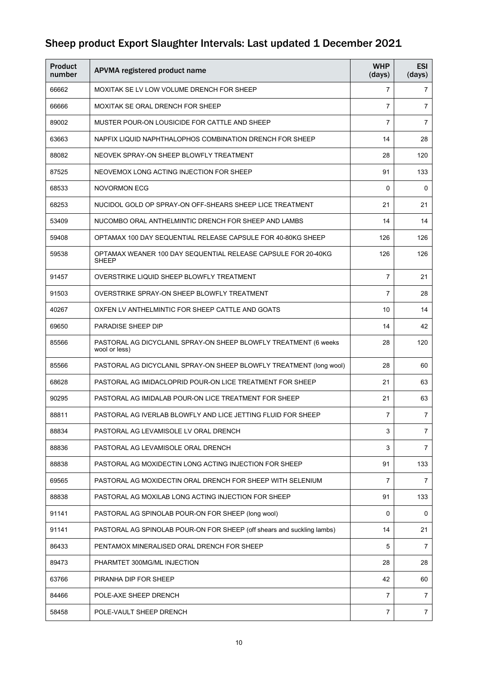| <b>Product</b><br>number | APVMA registered product name                                                     | <b>WHP</b><br>(days) | <b>ESI</b><br>(days) |
|--------------------------|-----------------------------------------------------------------------------------|----------------------|----------------------|
| 66662                    | MOXITAK SE LV LOW VOLUME DRENCH FOR SHEEP                                         | 7                    | 7                    |
| 66666                    | MOXITAK SE ORAL DRENCH FOR SHEEP                                                  | 7                    | $\overline{7}$       |
| 89002                    | MUSTER POUR-ON LOUSICIDE FOR CATTLE AND SHEEP                                     | 7                    | $\overline{7}$       |
| 63663                    | NAPFIX LIQUID NAPHTHALOPHOS COMBINATION DRENCH FOR SHEEP                          | 14                   | 28                   |
| 88082                    | NEOVEK SPRAY-ON SHEEP BLOWFLY TREATMENT                                           | 28                   | 120                  |
| 87525                    | NEOVEMOX LONG ACTING INJECTION FOR SHEEP                                          | 91                   | 133                  |
| 68533                    | <b>NOVORMON ECG</b>                                                               | 0                    | 0                    |
| 68253                    | NUCIDOL GOLD OP SPRAY-ON OFF-SHEARS SHEEP LICE TREATMENT                          | 21                   | 21                   |
| 53409                    | NUCOMBO ORAL ANTHELMINTIC DRENCH FOR SHEEP AND LAMBS                              | 14                   | 14                   |
| 59408                    | OPTAMAX 100 DAY SEQUENTIAL RELEASE CAPSULE FOR 40-80KG SHEEP                      | 126                  | 126                  |
| 59538                    | OPTAMAX WEANER 100 DAY SEQUENTIAL RELEASE CAPSULE FOR 20-40KG<br><b>SHEEP</b>     | 126                  | 126                  |
| 91457                    | OVERSTRIKE LIQUID SHEEP BLOWFLY TREATMENT                                         | $\overline{7}$       | 21                   |
| 91503                    | OVERSTRIKE SPRAY-ON SHEEP BLOWFLY TREATMENT                                       | $\overline{7}$       | 28                   |
| 40267                    | OXFEN LV ANTHELMINTIC FOR SHEEP CATTLE AND GOATS                                  | 10                   | 14                   |
| 69650                    | PARADISE SHEEP DIP                                                                | 14                   | 42                   |
| 85566                    | PASTORAL AG DICYCLANIL SPRAY-ON SHEEP BLOWFLY TREATMENT (6 weeks<br>wool or less) | 28                   | 120                  |
| 85566                    | PASTORAL AG DICYCLANIL SPRAY-ON SHEEP BLOWFLY TREATMENT (long wool)               | 28                   | 60                   |
| 68628                    | PASTORAL AG IMIDACLOPRID POUR-ON LICE TREATMENT FOR SHEEP                         | 21                   | 63                   |
| 90295                    | PASTORAL AG IMIDALAB POUR-ON LICE TREATMENT FOR SHEEP                             | 21                   | 63                   |
| 88811                    | PASTORAL AG IVERLAB BLOWFLY AND LICE JETTING FLUID FOR SHEEP                      | $\overline{7}$       | $\overline{7}$       |
| 88834                    | PASTORAL AG LEVAMISOLE LV ORAL DRENCH                                             | 3                    | $\overline{7}$       |
| 88836                    | PASTORAL AG LEVAMISOLE ORAL DRENCH                                                | 3                    | $\overline{7}$       |
| 88838                    | PASTORAL AG MOXIDECTIN LONG ACTING INJECTION FOR SHEEP                            | 91                   | 133                  |
| 69565                    | PASTORAL AG MOXIDECTIN ORAL DRENCH FOR SHEEP WITH SELENIUM                        | 7                    | $\overline{7}$       |
| 88838                    | PASTORAL AG MOXILAB LONG ACTING INJECTION FOR SHEEP                               | 91                   | 133                  |
| 91141                    | PASTORAL AG SPINOLAB POUR-ON FOR SHEEP (long wool)                                | 0                    | 0                    |
| 91141                    | PASTORAL AG SPINOLAB POUR-ON FOR SHEEP (off shears and suckling lambs)            | 14                   | 21                   |
| 86433                    | PENTAMOX MINERALISED ORAL DRENCH FOR SHEEP                                        | 5                    | $\overline{7}$       |
| 89473                    | PHARMTET 300MG/ML INJECTION                                                       | 28                   | 28                   |
| 63766                    | PIRANHA DIP FOR SHEEP                                                             | 42                   | 60                   |
| 84466                    | POLE-AXE SHEEP DRENCH                                                             | $\overline{7}$       | $\overline{7}$       |
| 58458                    | POLE-VAULT SHEEP DRENCH                                                           | 7                    | $\overline{7}$       |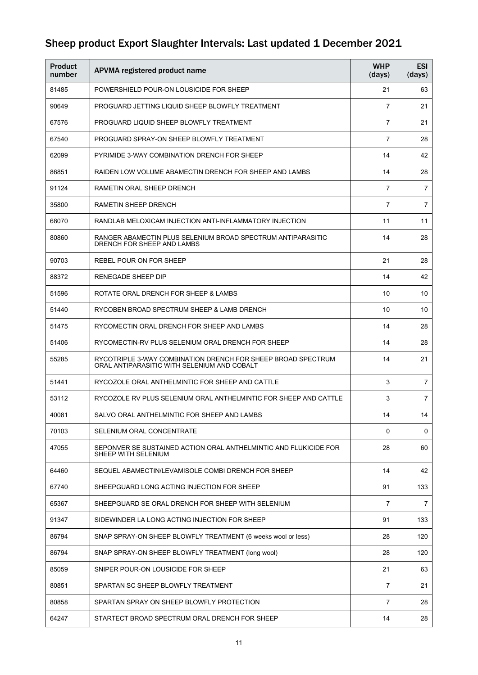| Product<br>number | APVMA registered product name                                                                               | <b>WHP</b><br>(days) | <b>ESI</b><br>(days) |
|-------------------|-------------------------------------------------------------------------------------------------------------|----------------------|----------------------|
| 81485             | POWERSHIELD POUR-ON LOUSICIDE FOR SHEEP                                                                     | 21                   | 63                   |
| 90649             | PROGUARD JETTING LIQUID SHEEP BLOWFLY TREATMENT                                                             | 7                    | 21                   |
| 67576             | PROGUARD LIQUID SHEEP BLOWFLY TREATMENT                                                                     | 7                    | 21                   |
| 67540             | PROGUARD SPRAY-ON SHEEP BLOWFLY TREATMENT                                                                   | $\overline{7}$       | 28                   |
| 62099             | PYRIMIDE 3-WAY COMBINATION DRENCH FOR SHEEP                                                                 | 14                   | 42                   |
| 86851             | RAIDEN LOW VOLUME ABAMECTIN DRENCH FOR SHEEP AND LAMBS                                                      | 14                   | 28                   |
| 91124             | RAMETIN ORAL SHEEP DRENCH                                                                                   | 7                    | 7                    |
| 35800             | RAMETIN SHEEP DRENCH                                                                                        | 7                    | 7                    |
| 68070             | RANDLAB MELOXICAM INJECTION ANTI-INFLAMMATORY INJECTION                                                     | 11                   | 11                   |
| 80860             | RANGER ABAMECTIN PLUS SELENIUM BROAD SPECTRUM ANTIPARASITIC<br>DRENCH FOR SHEEP AND LAMBS                   | 14                   | 28                   |
| 90703             | REBEL POUR ON FOR SHEEP                                                                                     | 21                   | 28                   |
| 88372             | RENEGADE SHEEP DIP                                                                                          | 14                   | 42                   |
| 51596             | ROTATE ORAL DRENCH FOR SHEEP & LAMBS                                                                        | 10                   | 10                   |
| 51440             | RYCOBEN BROAD SPECTRUM SHEEP & LAMB DRENCH                                                                  | 10                   | 10                   |
| 51475             | RYCOMECTIN ORAL DRENCH FOR SHEEP AND LAMBS                                                                  | 14                   | 28                   |
| 51406             | RYCOMECTIN-RV PLUS SELENIUM ORAL DRENCH FOR SHEEP                                                           | 14                   | 28                   |
| 55285             | RYCOTRIPLE 3-WAY COMBINATION DRENCH FOR SHEEP BROAD SPECTRUM<br>ORAL ANTIPARASITIC WITH SELENIUM AND COBALT | 14                   | 21                   |
| 51441             | RYCOZOLE ORAL ANTHELMINTIC FOR SHEEP AND CATTLE                                                             | 3                    | $\overline{7}$       |
| 53112             | RYCOZOLE RV PLUS SELENIUM ORAL ANTHELMINTIC FOR SHEEP AND CATTLE                                            | 3                    | $\overline{7}$       |
| 40081             | SALVO ORAL ANTHELMINTIC FOR SHEEP AND LAMBS                                                                 | 14                   | 14                   |
| 70103             | SELENIUM ORAL CONCENTRATE                                                                                   | $\Omega$             | $\mathbf 0$          |
| 47055             | SEPONVER SE SUSTAINED ACTION ORAL ANTHELMINTIC AND FLUKICIDE FOR<br>SHEEP WITH SELENIUM                     | 28                   | 60                   |
| 64460             | SEQUEL ABAMECTIN/LEVAMISOLE COMBI DRENCH FOR SHEEP                                                          | 14                   | 42                   |
| 67740             | SHEEPGUARD LONG ACTING INJECTION FOR SHEEP                                                                  | 91                   | 133                  |
| 65367             | SHEEPGUARD SE ORAL DRENCH FOR SHEEP WITH SELENIUM                                                           | $\overline{7}$       | 7                    |
| 91347             | SIDEWINDER LA LONG ACTING INJECTION FOR SHEEP                                                               | 91                   | 133                  |
| 86794             | SNAP SPRAY-ON SHEEP BLOWFLY TREATMENT (6 weeks wool or less)                                                | 28                   | 120                  |
| 86794             | SNAP SPRAY-ON SHEEP BLOWFLY TREATMENT (long wool)                                                           | 28                   | 120                  |
| 85059             | SNIPER POUR-ON LOUSICIDE FOR SHEEP                                                                          | 21                   | 63                   |
| 80851             | SPARTAN SC SHEEP BLOWFLY TREATMENT                                                                          | 7                    | 21                   |
| 80858             | SPARTAN SPRAY ON SHEEP BLOWFLY PROTECTION                                                                   | 7                    | 28                   |
| 64247             | STARTECT BROAD SPECTRUM ORAL DRENCH FOR SHEEP                                                               | 14                   | 28                   |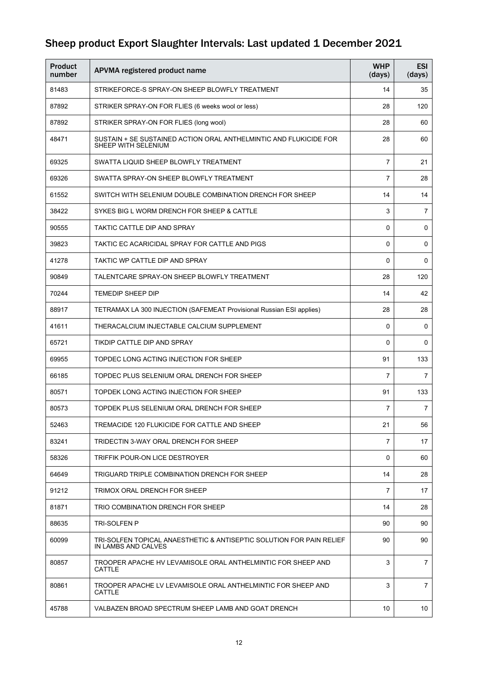| <b>Product</b><br>number | APVMA registered product name                                                               | <b>WHP</b><br>(days) | <b>ESI</b><br>(days) |
|--------------------------|---------------------------------------------------------------------------------------------|----------------------|----------------------|
| 81483                    | STRIKEFORCE-S SPRAY-ON SHEEP BLOWFLY TREATMENT                                              | 14                   | 35                   |
| 87892                    | STRIKER SPRAY-ON FOR FLIES (6 weeks wool or less)                                           | 28                   | 120                  |
| 87892                    | STRIKER SPRAY-ON FOR FLIES (long wool)                                                      | 28                   | 60                   |
| 48471                    | SUSTAIN + SE SUSTAINED ACTION ORAL ANTHELMINTIC AND FLUKICIDE FOR<br>SHEEP WITH SELENIUM    | 28                   | 60                   |
| 69325                    | SWATTA LIQUID SHEEP BLOWFLY TREATMENT                                                       | $\overline{7}$       | 21                   |
| 69326                    | SWATTA SPRAY-ON SHEEP BLOWFLY TREATMENT                                                     | $\overline{7}$       | 28                   |
| 61552                    | SWITCH WITH SELENIUM DOUBLE COMBINATION DRENCH FOR SHEEP                                    | 14                   | 14                   |
| 38422                    | SYKES BIG L WORM DRENCH FOR SHEEP & CATTLE                                                  | 3                    | $\overline{7}$       |
| 90555                    | TAKTIC CATTLE DIP AND SPRAY                                                                 | 0                    | 0                    |
| 39823                    | TAKTIC EC ACARICIDAL SPRAY FOR CATTLE AND PIGS                                              | 0                    | 0                    |
| 41278                    | TAKTIC WP CATTLE DIP AND SPRAY                                                              | 0                    | 0                    |
| 90849                    | TALENTCARE SPRAY-ON SHEEP BLOWFLY TREATMENT                                                 | 28                   | 120                  |
| 70244                    | <b>TEMEDIP SHEEP DIP</b>                                                                    | 14                   | 42                   |
| 88917                    | TETRAMAX LA 300 INJECTION (SAFEMEAT Provisional Russian ESI applies)                        | 28                   | 28                   |
| 41611                    | THERACALCIUM INJECTABLE CALCIUM SUPPLEMENT                                                  | 0                    | 0                    |
| 65721                    | TIKDIP CATTLE DIP AND SPRAY                                                                 | 0                    | 0                    |
| 69955                    | TOPDEC LONG ACTING INJECTION FOR SHEEP                                                      | 91                   | 133                  |
| 66185                    | TOPDEC PLUS SELENIUM ORAL DRENCH FOR SHEEP                                                  | $\overline{7}$       | 7                    |
| 80571                    | TOPDEK LONG ACTING INJECTION FOR SHEEP                                                      | 91                   | 133                  |
| 80573                    | TOPDEK PLUS SELENIUM ORAL DRENCH FOR SHEEP                                                  | 7                    | $\overline{7}$       |
| 52463                    | TREMACIDE 120 FLUKICIDE FOR CATTLE AND SHEEP                                                | 21                   | 56                   |
| 83241                    | TRIDECTIN 3-WAY ORAL DRENCH FOR SHEEP                                                       | $\overline{7}$       | 17                   |
| 58326                    | TRIFFIK POUR-ON LICE DESTROYER                                                              | 0                    | 60                   |
| 64649                    | TRIGUARD TRIPLE COMBINATION DRENCH FOR SHEEP                                                | 14                   | 28                   |
| 91212                    | TRIMOX ORAL DRENCH FOR SHEEP                                                                | 7                    | 17                   |
| 81871                    | TRIO COMBINATION DRENCH FOR SHEEP                                                           | 14                   | 28                   |
| 88635                    | TRI-SOLFEN P                                                                                | 90                   | 90                   |
| 60099                    | TRI-SOLFEN TOPICAL ANAESTHETIC & ANTISEPTIC SOLUTION FOR PAIN RELIEF<br>IN LAMBS AND CALVES | 90                   | 90                   |
| 80857                    | TROOPER APACHE HV LEVAMISOLE ORAL ANTHELMINTIC FOR SHEEP AND<br><b>CATTLE</b>               | 3                    | $\overline{7}$       |
| 80861                    | TROOPER APACHE LV LEVAMISOLE ORAL ANTHELMINTIC FOR SHEEP AND<br>CATTLE                      | 3                    | $\overline{7}$       |
| 45788                    | VALBAZEN BROAD SPECTRUM SHEEP LAMB AND GOAT DRENCH                                          | 10                   | 10                   |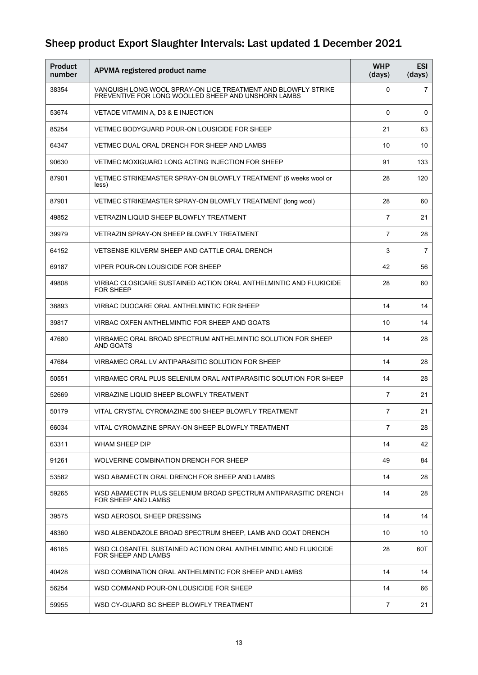| <b>Product</b><br>number | APVMA registered product name                                                                                        | <b>WHP</b><br>(days) | <b>ESI</b><br>(days) |
|--------------------------|----------------------------------------------------------------------------------------------------------------------|----------------------|----------------------|
| 38354                    | VANQUISH LONG WOOL SPRAY-ON LICE TREATMENT AND BLOWFLY STRIKE<br>PREVENTIVE FOR LONG WOOLLED SHEEP AND UNSHORN LAMBS | 0                    | 7                    |
| 53674                    | VETADE VITAMIN A, D3 & E INJECTION                                                                                   | 0                    | 0                    |
| 85254                    | VETMEC BODYGUARD POUR-ON LOUSICIDE FOR SHEEP                                                                         | 21                   | 63                   |
| 64347                    | VETMEC DUAL ORAL DRENCH FOR SHEEP AND LAMBS                                                                          | 10                   | 10                   |
| 90630                    | VETMEC MOXIGUARD LONG ACTING INJECTION FOR SHEEP                                                                     | 91                   | 133                  |
| 87901                    | VETMEC STRIKEMASTER SPRAY-ON BLOWFLY TREATMENT (6 weeks wool or<br>less)                                             | 28                   | 120                  |
| 87901                    | VETMEC STRIKEMASTER SPRAY-ON BLOWFLY TREATMENT (long wool)                                                           | 28                   | 60                   |
| 49852                    | VETRAZIN LIQUID SHEEP BLOWFLY TREATMENT                                                                              | 7                    | 21                   |
| 39979                    | VETRAZIN SPRAY-ON SHEEP BLOWFLY TREATMENT                                                                            | 7                    | 28                   |
| 64152                    | VETSENSE KILVERM SHEEP AND CATTLE ORAL DRENCH                                                                        | 3                    | $\overline{7}$       |
| 69187                    | VIPER POUR-ON LOUSICIDE FOR SHEEP                                                                                    | 42                   | 56                   |
| 49808                    | VIRBAC CLOSICARE SUSTAINED ACTION ORAL ANTHELMINTIC AND FLUKICIDE<br><b>FOR SHEEP</b>                                | 28                   | 60                   |
| 38893                    | VIRBAC DUOCARE ORAL ANTHELMINTIC FOR SHEEP                                                                           | 14                   | 14                   |
| 39817                    | VIRBAC OXFEN ANTHELMINTIC FOR SHEEP AND GOATS                                                                        | 10                   | 14                   |
| 47680                    | VIRBAMEC ORAL BROAD SPECTRUM ANTHELMINTIC SOLUTION FOR SHEEP<br>AND GOATS                                            | 14                   | 28                   |
| 47684                    | VIRBAMEC ORAL LV ANTIPARASITIC SOLUTION FOR SHEEP                                                                    | 14                   | 28                   |
| 50551                    | VIRBAMEC ORAL PLUS SELENIUM ORAL ANTIPARASITIC SOLUTION FOR SHEEP                                                    | 14                   | 28                   |
| 52669                    | VIRBAZINE LIQUID SHEEP BLOWFLY TREATMENT                                                                             | $\overline{7}$       | 21                   |
| 50179                    | VITAL CRYSTAL CYROMAZINE 500 SHEEP BLOWFLY TREATMENT                                                                 | $\overline{7}$       | 21                   |
| 66034                    | VITAL CYROMAZINE SPRAY-ON SHEEP BLOWFLY TREATMENT                                                                    | $\overline{7}$       | 28                   |
| 63311                    | WHAM SHEEP DIP                                                                                                       | 14                   | 42                   |
| 91261                    | WOLVERINE COMBINATION DRENCH FOR SHEEP                                                                               | 49                   | 84                   |
| 53582                    | WSD ABAMECTIN ORAL DRENCH FOR SHEEP AND LAMBS                                                                        | 14                   | 28                   |
| 59265                    | WSD ABAMECTIN PLUS SELENIUM BROAD SPECTRUM ANTIPARASITIC DRENCH<br>FOR SHEEP AND LAMBS                               | 14                   | 28                   |
| 39575                    | WSD AEROSOL SHEEP DRESSING                                                                                           | 14                   | 14                   |
| 48360                    | WSD ALBENDAZOLE BROAD SPECTRUM SHEEP, LAMB AND GOAT DRENCH                                                           | 10                   | 10                   |
| 46165                    | WSD CLOSANTEL SUSTAINED ACTION ORAL ANTHELMINTIC AND FLUKICIDE<br>FOR SHEEP AND LAMBS                                | 28                   | 60T                  |
| 40428                    | WSD COMBINATION ORAL ANTHELMINTIC FOR SHEEP AND LAMBS                                                                | 14                   | 14                   |
| 56254                    | WSD COMMAND POUR-ON LOUSICIDE FOR SHEEP                                                                              | 14                   | 66                   |
| 59955                    | WSD CY-GUARD SC SHEEP BLOWFLY TREATMENT                                                                              | $\overline{7}$       | 21                   |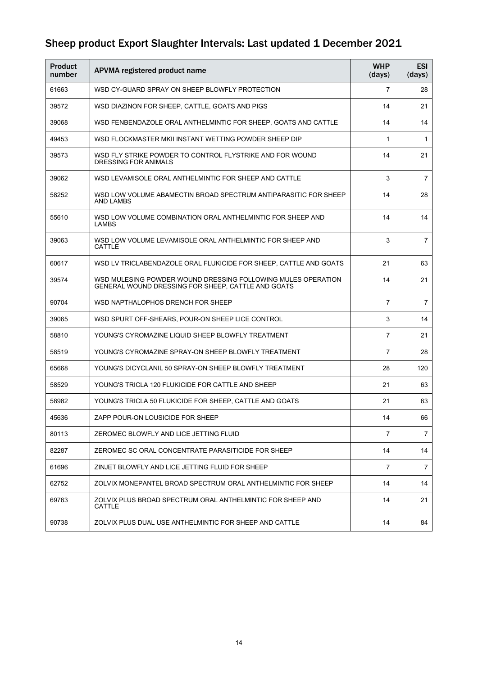| <b>Product</b><br>number | APVMA registered product name                                                                                      | <b>WHP</b><br>(days) | <b>ESI</b><br>(days) |
|--------------------------|--------------------------------------------------------------------------------------------------------------------|----------------------|----------------------|
| 61663                    | WSD CY-GUARD SPRAY ON SHEEP BLOWFLY PROTECTION                                                                     | $\overline{7}$       | 28                   |
| 39572                    | WSD DIAZINON FOR SHEEP, CATTLE, GOATS AND PIGS                                                                     | 14                   | 21                   |
| 39068                    | WSD FENBENDAZOLE ORAL ANTHELMINTIC FOR SHEEP, GOATS AND CATTLE                                                     | 14                   | 14                   |
| 49453                    | WSD FLOCKMASTER MKII INSTANT WETTING POWDER SHEEP DIP                                                              | $\mathbf{1}$         | 1                    |
| 39573                    | WSD FLY STRIKE POWDER TO CONTROL FLYSTRIKE AND FOR WOUND<br>DRESSING FOR ANIMALS                                   | 14                   | 21                   |
| 39062                    | WSD LEVAMISOLE ORAL ANTHELMINTIC FOR SHEEP AND CATTLE                                                              | 3                    | 7                    |
| 58252                    | WSD LOW VOLUME ABAMECTIN BROAD SPECTRUM ANTIPARASITIC FOR SHEEP<br>AND LAMBS                                       | 14                   | 28                   |
| 55610                    | WSD LOW VOLUME COMBINATION ORAL ANTHELMINTIC FOR SHEEP AND<br><b>LAMBS</b>                                         | 14                   | 14                   |
| 39063                    | WSD LOW VOLUME LEVAMISOLE ORAL ANTHELMINTIC FOR SHEEP AND<br>CATTLE                                                | 3                    | $\overline{7}$       |
| 60617                    | WSD LV TRICLABENDAZOLE ORAL FLUKICIDE FOR SHEEP, CATTLE AND GOATS                                                  | 21                   | 63                   |
| 39574                    | WSD MULESING POWDER WOUND DRESSING FOLLOWING MULES OPERATION<br>GENERAL WOUND DRESSING FOR SHEEP, CATTLE AND GOATS | 14                   | 21                   |
| 90704                    | WSD NAPTHALOPHOS DRENCH FOR SHEEP                                                                                  | $\overline{7}$       | $\overline{7}$       |
| 39065                    | WSD SPURT OFF-SHEARS, POUR-ON SHEEP LICE CONTROL                                                                   | 3                    | 14                   |
| 58810                    | YOUNG'S CYROMAZINE LIQUID SHEEP BLOWFLY TREATMENT                                                                  | $\overline{7}$       | 21                   |
| 58519                    | YOUNG'S CYROMAZINE SPRAY-ON SHEEP BLOWFLY TREATMENT                                                                | 7                    | 28                   |
| 65668                    | YOUNG'S DICYCLANIL 50 SPRAY-ON SHEEP BLOWFLY TREATMENT                                                             | 28                   | 120                  |
| 58529                    | YOUNG'S TRICLA 120 FLUKICIDE FOR CATTLE AND SHEEP                                                                  | 21                   | 63                   |
| 58982                    | YOUNG'S TRICLA 50 FLUKICIDE FOR SHEEP, CATTLE AND GOATS                                                            | 21                   | 63                   |
| 45636                    | ZAPP POUR-ON LOUSICIDE FOR SHEEP                                                                                   | 14                   | 66                   |
| 80113                    | ZEROMEC BLOWFLY AND LICE JETTING FLUID                                                                             | $\overline{7}$       | $\overline{7}$       |
| 82287                    | ZEROMEC SC ORAL CONCENTRATE PARASITICIDE FOR SHEEP                                                                 | 14                   | 14                   |
| 61696                    | ZINJET BLOWFLY AND LICE JETTING FLUID FOR SHEEP                                                                    | $\overline{7}$       | $\overline{7}$       |
| 62752                    | ZOLVIX MONEPANTEL BROAD SPECTRUM ORAL ANTHELMINTIC FOR SHEEP                                                       | 14                   | 14                   |
| 69763                    | ZOLVIX PLUS BROAD SPECTRUM ORAL ANTHELMINTIC FOR SHEEP AND<br><b>CATTLE</b>                                        | 14                   | 21                   |
| 90738                    | ZOLVIX PLUS DUAL USE ANTHELMINTIC FOR SHEEP AND CATTLE                                                             | 14                   | 84                   |